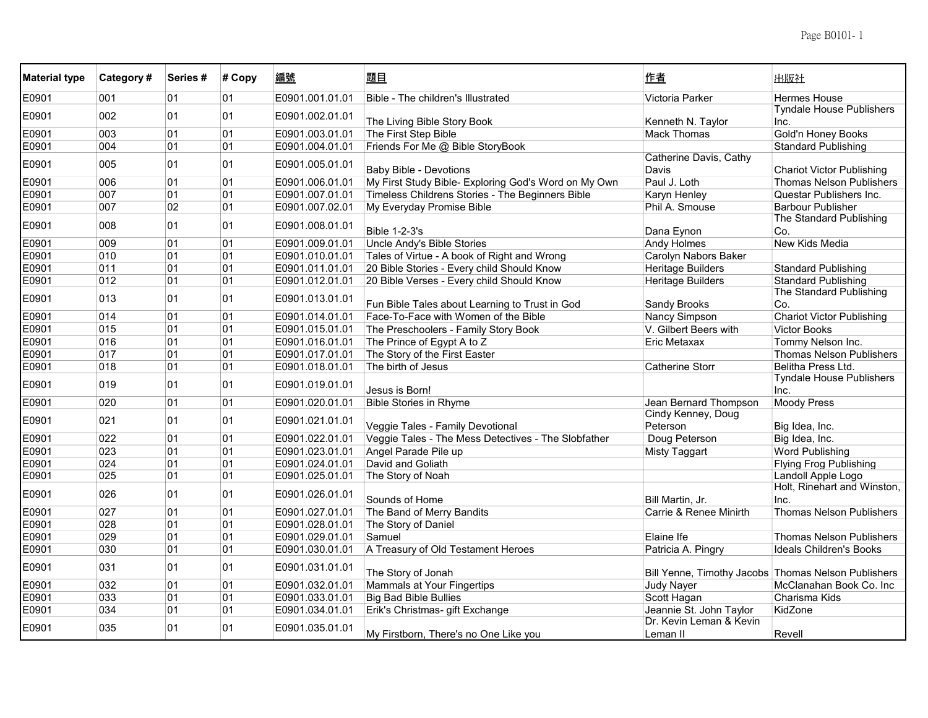| <b>Material type</b> | Category# | Series# | # Copy | 編號              | 題目                                                   | 作者                                  | 出版社                                                 |
|----------------------|-----------|---------|--------|-----------------|------------------------------------------------------|-------------------------------------|-----------------------------------------------------|
| E0901                | 001       | 01      | 01     | E0901.001.01.01 | Bible - The children's Illustrated                   | Victoria Parker                     | <b>Hermes House</b>                                 |
| E0901                | 002       | 01      | 01     | E0901.002.01.01 | The Living Bible Story Book                          | Kenneth N. Taylor                   | <b>Tyndale House Publishers</b><br>Inc.             |
| E0901                | 003       | 01      | 01     | E0901.003.01.01 | The First Step Bible                                 | <b>Mack Thomas</b>                  | Gold'n Honey Books                                  |
| E0901                | 004       | 01      | 01     | E0901.004.01.01 | Friends For Me @ Bible StoryBook                     |                                     | <b>Standard Publishing</b>                          |
| E0901                | 005       | 01      | 01     | E0901.005.01.01 | <b>Baby Bible - Devotions</b>                        | Catherine Davis, Cathy<br>Davis     | <b>Chariot Victor Publishing</b>                    |
| E0901                | 006       | 01      | 01     | E0901.006.01.01 | My First Study Bible- Exploring God's Word on My Own | Paul J. Loth                        | <b>Thomas Nelson Publishers</b>                     |
| E0901                | 007       | 01      | 01     | E0901.007.01.01 | Timeless Childrens Stories - The Beginners Bible     | Karyn Henley                        | Questar Publishers Inc.                             |
| E0901                | 007       | 02      | 01     | E0901.007.02.01 | My Everyday Promise Bible                            | Phil A. Smouse                      | <b>Barbour Publisher</b>                            |
| E0901                | 008       | 01      | 01     | E0901.008.01.01 | <b>Bible 1-2-3's</b>                                 | Dana Eynon                          | The Standard Publishing<br>Co.                      |
| E0901                | 009       | 01      | 01     | E0901.009.01.01 | <b>Uncle Andy's Bible Stories</b>                    | <b>Andy Holmes</b>                  | New Kids Media                                      |
| E0901                | 010       | 01      | 01     | E0901.010.01.01 | Tales of Virtue - A book of Right and Wrong          | Carolyn Nabors Baker                |                                                     |
| E0901                | 011       | 01      | 01     | E0901.011.01.01 | 20 Bible Stories - Every child Should Know           | Heritage Builders                   | <b>Standard Publishing</b>                          |
| E0901                | 012       | 01      | 01     | E0901.012.01.01 | 20 Bible Verses - Every child Should Know            | <b>Heritage Builders</b>            | <b>Standard Publishing</b>                          |
| E0901                | 013       | 01      | 01     | E0901.013.01.01 | Fun Bible Tales about Learning to Trust in God       | Sandy Brooks                        | The Standard Publishing<br>Co.                      |
| E0901                | 014       | 01      | 01     | E0901.014.01.01 | Face-To-Face with Women of the Bible                 | Nancy Simpson                       | <b>Chariot Victor Publishing</b>                    |
| E0901                | 015       | 01      | 01     | E0901.015.01.01 | The Preschoolers - Family Story Book                 | V. Gilbert Beers with               | <b>Victor Books</b>                                 |
| E0901                | 016       | 01      | 01     | E0901.016.01.01 | The Prince of Egypt A to Z                           | Eric Metaxax                        | Tommy Nelson Inc.                                   |
| E0901                | 017       | 01      | 01     | E0901.017.01.01 | The Story of the First Easter                        |                                     | Thomas Nelson Publishers                            |
| E0901                | 018       | 01      | 01     | E0901.018.01.01 | The birth of Jesus                                   | <b>Catherine Storr</b>              | Belitha Press Ltd.                                  |
| E0901                | 019       | 01      | 01     | E0901.019.01.01 | Jesus is Born!                                       |                                     | <b>Tyndale House Publishers</b><br>Inc.             |
| E0901                | 020       | 01      | 01     | E0901.020.01.01 | <b>Bible Stories in Rhyme</b>                        | Jean Bernard Thompson               | <b>Moody Press</b>                                  |
| E0901                | 021       | 01      | 01     | E0901.021.01.01 | Veggie Tales - Family Devotional                     | Cindy Kenney, Doug<br>Peterson      | Big Idea, Inc.                                      |
| E0901                | 022       | 01      | 01     | E0901.022.01.01 | Veggie Tales - The Mess Detectives - The Slobfather  | Doug Peterson                       | Big Idea, Inc.                                      |
| E0901                | 023       | 01      | 01     | E0901.023.01.01 | Angel Parade Pile up                                 | <b>Misty Taggart</b>                | <b>Word Publishing</b>                              |
| E0901                | 024       | 01      | 01     | E0901.024.01.01 | David and Goliath                                    |                                     | <b>Flying Frog Publishing</b>                       |
| E0901                | 025       | 01      | 01     | E0901.025.01.01 | The Story of Noah                                    |                                     | Landoll Apple Logo                                  |
| E0901                | 026       | 01      | 01     | E0901.026.01.01 | Sounds of Home                                       | Bill Martin, Jr.                    | Holt, Rinehart and Winston,<br>Inc.                 |
| E0901                | 027       | 01      | 01     | E0901.027.01.01 | The Band of Merry Bandits                            | Carrie & Renee Minirth              | <b>Thomas Nelson Publishers</b>                     |
| E0901                | 028       | 01      | 01     | E0901.028.01.01 | The Story of Daniel                                  |                                     |                                                     |
| E0901                | 029       | 01      | 01     | E0901.029.01.01 | Samuel                                               | Elaine Ife                          | <b>Thomas Nelson Publishers</b>                     |
| E0901                | 030       | 01      | 01     | E0901.030.01.01 | A Treasury of Old Testament Heroes                   | Patricia A. Pingry                  | <b>Ideals Children's Books</b>                      |
| E0901                | 031       | 01      | 01     | E0901.031.01.01 | The Story of Jonah                                   |                                     | Bill Yenne, Timothy Jacobs Thomas Nelson Publishers |
| E0901                | 032       | 01      | 01     | E0901.032.01.01 | Mammals at Your Fingertips                           | <b>Judy Nayer</b>                   | McClanahan Book Co. Inc                             |
| E0901                | 033       | 01      | 01     | E0901.033.01.01 | <b>Big Bad Bible Bullies</b>                         | Scott Hagan                         | Charisma Kids                                       |
| E0901                | 034       | 01      | 01     | E0901.034.01.01 | Erik's Christmas- gift Exchange                      | Jeannie St. John Taylor             | KidZone                                             |
| E0901                | 035       | 01      | 01     | E0901.035.01.01 | My Firstborn, There's no One Like you                | Dr. Kevin Leman & Kevin<br>Leman II | Revell                                              |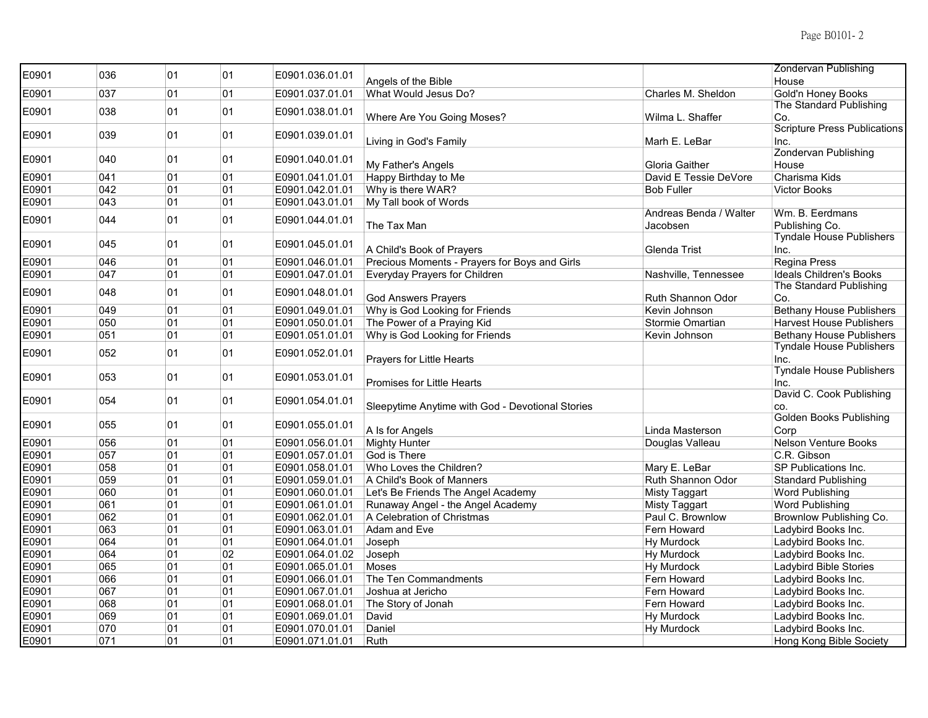| E0901 | 036 | 01 | 01 | E0901.036.01.01 |                                                  |                        | <b>Zondervan Publishing</b>         |
|-------|-----|----|----|-----------------|--------------------------------------------------|------------------------|-------------------------------------|
|       |     |    |    |                 | Angels of the Bible                              |                        | House                               |
| E0901 | 037 | 01 | 01 | E0901.037.01.01 | What Would Jesus Do?                             | Charles M. Sheldon     | Gold'n Honey Books                  |
| E0901 | 038 | 01 | 01 | E0901.038.01.01 |                                                  |                        | The Standard Publishing             |
|       |     |    |    |                 | Where Are You Going Moses?                       | Wilma L. Shaffer       | Co.                                 |
| E0901 | 039 | 01 | 01 | E0901.039.01.01 |                                                  |                        | <b>Scripture Press Publications</b> |
|       |     |    |    |                 | Living in God's Family                           | Marh E. LeBar          | Inc.                                |
| E0901 | 040 | 01 | 01 | E0901.040.01.01 |                                                  |                        | Zondervan Publishing                |
|       |     |    |    |                 | My Father's Angels                               | <b>Gloria Gaither</b>  | House                               |
| E0901 | 041 | 01 | 01 | E0901.041.01.01 | Happy Birthday to Me                             | David E Tessie DeVore  | Charisma Kids                       |
| E0901 | 042 | 01 | 01 | E0901.042.01.01 | Why is there WAR?                                | <b>Bob Fuller</b>      | Victor Books                        |
| E0901 | 043 | 01 | 01 | E0901.043.01.01 | My Tall book of Words                            | Andreas Benda / Walter | Wm. B. Eerdmans                     |
| E0901 | 044 | 01 | 01 | E0901.044.01.01 |                                                  | Jacobsen               | Publishing Co.                      |
|       |     |    |    |                 | The Tax Man                                      |                        | <b>Tyndale House Publishers</b>     |
| E0901 | 045 | 01 | 01 | E0901.045.01.01 | A Child's Book of Prayers                        | Glenda Trist           | Inc.                                |
| E0901 | 046 | 01 | 01 | E0901.046.01.01 | Precious Moments - Prayers for Boys and Girls    |                        | Regina Press                        |
| E0901 | 047 | 01 | 01 | E0901.047.01.01 | Everyday Prayers for Children                    | Nashville, Tennessee   | Ideals Children's Books             |
|       |     |    |    |                 |                                                  |                        | The Standard Publishing             |
| E0901 | 048 | 01 | 01 | E0901.048.01.01 | <b>God Answers Prayers</b>                       | Ruth Shannon Odor      | Co.                                 |
| E0901 | 049 | 01 | 01 | E0901.049.01.01 | Why is God Looking for Friends                   | Kevin Johnson          | <b>Bethany House Publishers</b>     |
| E0901 | 050 | 01 | 01 | E0901.050.01.01 | The Power of a Praying Kid                       | Stormie Omartian       | <b>Harvest House Publishers</b>     |
| E0901 | 051 | 01 | 01 | E0901.051.01.01 | Why is God Looking for Friends                   | Kevin Johnson          | <b>Bethany House Publishers</b>     |
|       |     |    |    |                 |                                                  |                        | <b>Tyndale House Publishers</b>     |
| E0901 | 052 | 01 | 01 | E0901.052.01.01 | Prayers for Little Hearts                        |                        | Inc.                                |
|       | 053 | 01 | 01 |                 |                                                  |                        | <b>Tyndale House Publishers</b>     |
| E0901 |     |    |    | E0901.053.01.01 | <b>Promises for Little Hearts</b>                |                        | Inc.                                |
| E0901 | 054 | 01 | 01 | E0901.054.01.01 |                                                  |                        | David C. Cook Publishing            |
|       |     |    |    |                 | Sleepytime Anytime with God - Devotional Stories |                        | CO.                                 |
| E0901 | 055 | 01 | 01 | E0901.055.01.01 |                                                  |                        | <b>Golden Books Publishing</b>      |
|       |     |    |    |                 | A Is for Angels                                  | Linda Masterson        | Corp                                |
| E0901 | 056 | 01 | 01 | E0901.056.01.01 | <b>Mighty Hunter</b>                             | Douglas Valleau        | <b>Nelson Venture Books</b>         |
| E0901 | 057 | 01 | 01 | E0901.057.01.01 | God is There                                     |                        | C.R. Gibson                         |
| E0901 | 058 | 01 | 01 | E0901.058.01.01 | Who Loves the Children?                          | Mary E. LeBar          | SP Publications Inc.                |
| E0901 | 059 | 01 | 01 | E0901.059.01.01 | A Child's Book of Manners                        | Ruth Shannon Odor      | <b>Standard Publishing</b>          |
| E0901 | 060 | 01 | 01 | E0901.060.01.01 | Let's Be Friends The Angel Academy               | <b>Misty Taggart</b>   | Word Publishing                     |
| E0901 | 061 | 01 | 01 | E0901.061.01.01 | Runaway Angel - the Angel Academy                | <b>Misty Taggart</b>   | <b>Word Publishing</b>              |
| E0901 | 062 | 01 | 01 | E0901.062.01.01 | A Celebration of Christmas                       | Paul C. Brownlow       | Brownlow Publishing Co.             |
| E0901 | 063 | 01 | 01 | E0901.063.01.01 | Adam and Eve                                     | Fern Howard            | Ladybird Books Inc.                 |
| E0901 | 064 | 01 | 01 | E0901.064.01.01 | Joseph                                           | Hy Murdock             | Ladybird Books Inc.                 |
| E0901 | 064 | 01 | 02 | E0901.064.01.02 | Joseph                                           | Hy Murdock             | Ladybird Books Inc.                 |
| E0901 | 065 | 01 | 01 | E0901.065.01.01 | Moses                                            | <b>Hy Murdock</b>      | Ladybird Bible Stories              |
| E0901 | 066 | 01 | 01 | E0901.066.01.01 | The Ten Commandments                             | Fern Howard            | Ladybird Books Inc.                 |
| E0901 | 067 | 01 | 01 | E0901.067.01.01 | Joshua at Jericho                                | Fern Howard            | Ladybird Books Inc.                 |
| E0901 | 068 | 01 | 01 | E0901.068.01.01 | The Story of Jonah                               | Fern Howard            | Ladybird Books Inc.                 |
| E0901 | 069 | 01 | 01 | E0901.069.01.01 | David                                            | <b>Hy Murdock</b>      | Ladybird Books Inc.                 |
| E0901 | 070 | 01 | 01 | E0901.070.01.01 | Daniel                                           | <b>Hy Murdock</b>      | Ladybird Books Inc.                 |
| E0901 | 071 | 01 | 01 | E0901.071.01.01 | Ruth                                             |                        | Hong Kong Bible Society             |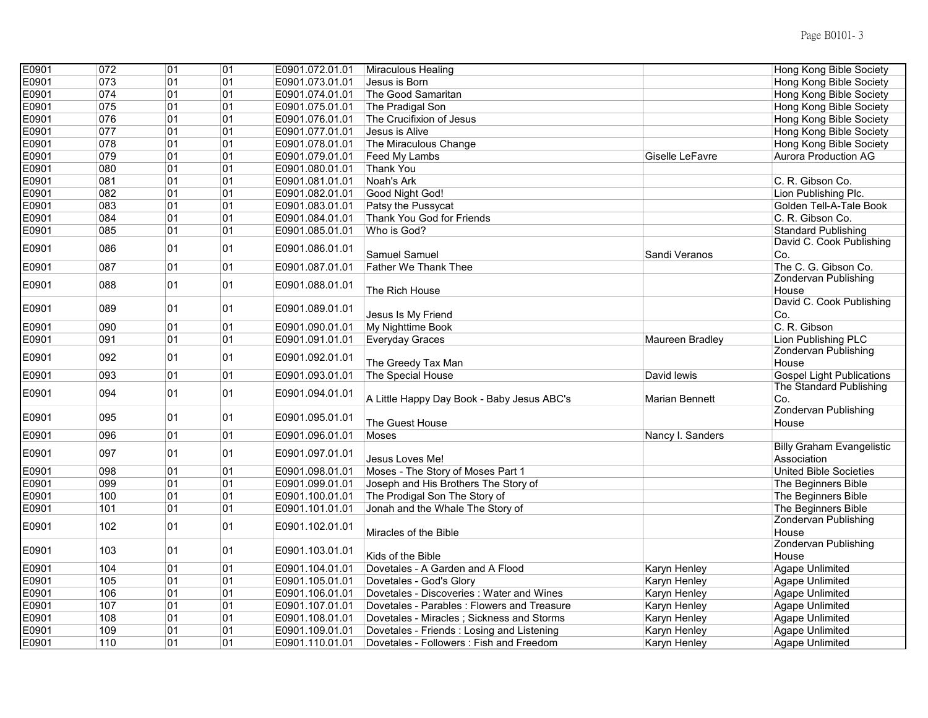| E0901<br>073<br>01<br>01<br>E0901.073.01.01<br>Jesus is Born<br>Hong Kong Bible Society<br>Hong Kong Bible Society<br>E0901<br>074<br>01<br>01<br>The Good Samaritan<br>E0901.074.01.01<br>E0901<br>075<br>01<br>01<br>Hong Kong Bible Society<br>E0901.075.01.01<br>The Pradigal Son<br>E0901<br>076<br>01<br>01<br>E0901.076.01.01<br>The Crucifixion of Jesus<br>Hong Kong Bible Society<br>01<br>E0901<br>077<br>01<br>Jesus is Alive<br>E0901.077.01.01<br>Hong Kong Bible Society<br>01<br>E0901<br>078<br>01<br>E0901.078.01.01<br>The Miraculous Change<br>Hong Kong Bible Society<br>E0901<br>079<br>01<br>01<br><b>Aurora Production AG</b><br>E0901.079.01.01<br>Feed My Lambs<br>Giselle LeFavre<br>E0901<br>080<br>01<br>01<br>E0901.080.01.01<br>Thank You<br>081<br>01<br>01<br>E0901<br>E0901.081.01.01<br>Noah's Ark<br>C. R. Gibson Co.<br>E0901<br>082<br>01<br>01<br>Lion Publishing Plc.<br>E0901.082.01.01<br>Good Night God!<br>E0901<br>083<br>01<br>01<br>E0901.083.01.01<br>Patsy the Pussycat<br>Golden Tell-A-Tale Book<br>E0901<br>084<br>01<br>01<br>E0901.084.01.01<br>Thank You God for Friends<br>C. R. Gibson Co.<br>01<br>E0901<br>085<br>01<br>E0901.085.01.01<br>Who is God?<br><b>Standard Publishing</b><br>David C. Cook Publishing<br>E0901<br>086<br>01<br>01<br>E0901.086.01.01<br><b>Samuel Samuel</b><br>Sandi Veranos<br>Co.<br>087<br>01<br>E0901<br>01<br><b>Father We Thank Thee</b><br>The C. G. Gibson Co.<br>E0901.087.01.01<br><b>Zondervan Publishing</b><br>01<br>01<br>E0901<br>088<br>E0901.088.01.01<br>The Rich House<br>House<br>David C. Cook Publishing<br>01<br>01<br>E0901<br>089<br>E0901.089.01.01<br>Jesus Is My Friend<br>Co.<br>01<br>C. R. Gibson<br>E0901<br>090<br>01<br>E0901.090.01.01<br>My Nighttime Book<br>091<br>01<br>Lion Publishing PLC<br>E0901<br>01<br><b>Everyday Graces</b><br>Maureen Bradley<br>E0901.091.01.01<br><b>Zondervan Publishing</b><br>092<br>01<br>01<br>E0901<br>E0901.092.01.01<br>The Greedy Tax Man<br>House<br>01<br>E0901<br>093<br>01<br>E0901.093.01.01<br>David lewis<br><b>Gospel Light Publications</b><br>The Special House<br>The Standard Publishing<br>094<br>01<br>01<br>E0901<br>E0901.094.01.01<br><b>Marian Bennett</b><br>Co.<br>A Little Happy Day Book - Baby Jesus ABC's<br><b>Zondervan Publishing</b><br>01<br>095<br>01<br>E0901<br>E0901.095.01.01<br>The Guest House<br>House<br>E0901<br>096<br>01<br>01<br>E0901.096.01.01<br>Nancy I. Sanders<br><b>Moses</b><br><b>Billy Graham Evangelistic</b><br>E0901<br>097<br>01<br>01<br>E0901.097.01.01<br>Association<br>Jesus Loves Me!<br>E0901<br>098<br>01<br>01<br>E0901.098.01.01<br>Moses - The Story of Moses Part 1<br><b>United Bible Societies</b><br>E0901<br>099<br>01<br>01<br>E0901.099.01.01<br>Joseph and His Brothers The Story of<br>The Beginners Bible<br>100<br>01<br>E0901<br>01<br>E0901.100.01.01<br>The Prodigal Son The Story of<br>The Beginners Bible<br>01<br>E0901<br>101<br>01<br>E0901.101.01.01<br>The Beginners Bible<br>Jonah and the Whale The Story of<br>Zondervan Publishing<br>01<br>102<br>01<br>E0901<br>E0901.102.01.01<br>Miracles of the Bible<br>House<br><b>Zondervan Publishing</b><br>01<br>103<br>01<br>E0901<br>E0901.103.01.01<br>Kids of the Bible<br>House<br>104<br>E0901<br>01<br>01<br>E0901.104.01.01<br>Dovetales - A Garden and A Flood<br>Karyn Henley<br><b>Agape Unlimited</b><br>E0901<br>105<br>01<br>01<br>E0901.105.01.01<br>Dovetales - God's Glory<br>Karyn Henley<br><b>Agape Unlimited</b><br>E0901<br>01<br>01<br>106<br>E0901.106.01.01<br>Dovetales - Discoveries: Water and Wines<br>Agape Unlimited<br>Karyn Henley<br>E0901<br>107<br>01<br>01<br>Dovetales - Parables: Flowers and Treasure<br><b>Agape Unlimited</b><br>E0901.107.01.01<br>Karyn Henley<br>E0901<br>01<br>108<br>01<br>E0901.108.01.01<br>Dovetales - Miracles ; Sickness and Storms<br><b>Agape Unlimited</b><br>Karyn Henley<br>01<br>E0901<br>109<br>01<br>E0901.109.01.01<br>Dovetales - Friends : Losing and Listening<br><b>Agape Unlimited</b><br>Karyn Henley<br>01<br>E0901<br>110<br>01<br>Dovetales - Followers : Fish and Freedom<br>E0901.110.01.01<br>Karyn Henley<br>Agape Unlimited | E0901 | 072 | 01 | 01 | E0901.072.01.01 | Miraculous Healing | <b>Hong Kong Bible Society</b> |
|-----------------------------------------------------------------------------------------------------------------------------------------------------------------------------------------------------------------------------------------------------------------------------------------------------------------------------------------------------------------------------------------------------------------------------------------------------------------------------------------------------------------------------------------------------------------------------------------------------------------------------------------------------------------------------------------------------------------------------------------------------------------------------------------------------------------------------------------------------------------------------------------------------------------------------------------------------------------------------------------------------------------------------------------------------------------------------------------------------------------------------------------------------------------------------------------------------------------------------------------------------------------------------------------------------------------------------------------------------------------------------------------------------------------------------------------------------------------------------------------------------------------------------------------------------------------------------------------------------------------------------------------------------------------------------------------------------------------------------------------------------------------------------------------------------------------------------------------------------------------------------------------------------------------------------------------------------------------------------------------------------------------------------------------------------------------------------------------------------------------------------------------------------------------------------------------------------------------------------------------------------------------------------------------------------------------------------------------------------------------------------------------------------------------------------------------------------------------------------------------------------------------------------------------------------------------------------------------------------------------------------------------------------------------------------------------------------------------------------------------------------------------------------------------------------------------------------------------------------------------------------------------------------------------------------------------------------------------------------------------------------------------------------------------------------------------------------------------------------------------------------------------------------------------------------------------------------------------------------------------------------------------------------------------------------------------------------------------------------------------------------------------------------------------------------------------------------------------------------------------------------------------------------------------------------------------------------------------------------------------------------------------------------------------------------------------------------------------------------------------------------------------------------------------------------------------------------------------------------------------------------------------------------------------------------------------------------------------------------------------------------------------------------------------------------------------------------------------------------------------------------------------------------------------------------------------------------------------------------------|-------|-----|----|----|-----------------|--------------------|--------------------------------|
|                                                                                                                                                                                                                                                                                                                                                                                                                                                                                                                                                                                                                                                                                                                                                                                                                                                                                                                                                                                                                                                                                                                                                                                                                                                                                                                                                                                                                                                                                                                                                                                                                                                                                                                                                                                                                                                                                                                                                                                                                                                                                                                                                                                                                                                                                                                                                                                                                                                                                                                                                                                                                                                                                                                                                                                                                                                                                                                                                                                                                                                                                                                                                                                                                                                                                                                                                                                                                                                                                                                                                                                                                                                                                                                                                                                                                                                                                                                                                                                                                                                                                                                                                                                                                                   |       |     |    |    |                 |                    |                                |
|                                                                                                                                                                                                                                                                                                                                                                                                                                                                                                                                                                                                                                                                                                                                                                                                                                                                                                                                                                                                                                                                                                                                                                                                                                                                                                                                                                                                                                                                                                                                                                                                                                                                                                                                                                                                                                                                                                                                                                                                                                                                                                                                                                                                                                                                                                                                                                                                                                                                                                                                                                                                                                                                                                                                                                                                                                                                                                                                                                                                                                                                                                                                                                                                                                                                                                                                                                                                                                                                                                                                                                                                                                                                                                                                                                                                                                                                                                                                                                                                                                                                                                                                                                                                                                   |       |     |    |    |                 |                    |                                |
|                                                                                                                                                                                                                                                                                                                                                                                                                                                                                                                                                                                                                                                                                                                                                                                                                                                                                                                                                                                                                                                                                                                                                                                                                                                                                                                                                                                                                                                                                                                                                                                                                                                                                                                                                                                                                                                                                                                                                                                                                                                                                                                                                                                                                                                                                                                                                                                                                                                                                                                                                                                                                                                                                                                                                                                                                                                                                                                                                                                                                                                                                                                                                                                                                                                                                                                                                                                                                                                                                                                                                                                                                                                                                                                                                                                                                                                                                                                                                                                                                                                                                                                                                                                                                                   |       |     |    |    |                 |                    |                                |
|                                                                                                                                                                                                                                                                                                                                                                                                                                                                                                                                                                                                                                                                                                                                                                                                                                                                                                                                                                                                                                                                                                                                                                                                                                                                                                                                                                                                                                                                                                                                                                                                                                                                                                                                                                                                                                                                                                                                                                                                                                                                                                                                                                                                                                                                                                                                                                                                                                                                                                                                                                                                                                                                                                                                                                                                                                                                                                                                                                                                                                                                                                                                                                                                                                                                                                                                                                                                                                                                                                                                                                                                                                                                                                                                                                                                                                                                                                                                                                                                                                                                                                                                                                                                                                   |       |     |    |    |                 |                    |                                |
|                                                                                                                                                                                                                                                                                                                                                                                                                                                                                                                                                                                                                                                                                                                                                                                                                                                                                                                                                                                                                                                                                                                                                                                                                                                                                                                                                                                                                                                                                                                                                                                                                                                                                                                                                                                                                                                                                                                                                                                                                                                                                                                                                                                                                                                                                                                                                                                                                                                                                                                                                                                                                                                                                                                                                                                                                                                                                                                                                                                                                                                                                                                                                                                                                                                                                                                                                                                                                                                                                                                                                                                                                                                                                                                                                                                                                                                                                                                                                                                                                                                                                                                                                                                                                                   |       |     |    |    |                 |                    |                                |
|                                                                                                                                                                                                                                                                                                                                                                                                                                                                                                                                                                                                                                                                                                                                                                                                                                                                                                                                                                                                                                                                                                                                                                                                                                                                                                                                                                                                                                                                                                                                                                                                                                                                                                                                                                                                                                                                                                                                                                                                                                                                                                                                                                                                                                                                                                                                                                                                                                                                                                                                                                                                                                                                                                                                                                                                                                                                                                                                                                                                                                                                                                                                                                                                                                                                                                                                                                                                                                                                                                                                                                                                                                                                                                                                                                                                                                                                                                                                                                                                                                                                                                                                                                                                                                   |       |     |    |    |                 |                    |                                |
|                                                                                                                                                                                                                                                                                                                                                                                                                                                                                                                                                                                                                                                                                                                                                                                                                                                                                                                                                                                                                                                                                                                                                                                                                                                                                                                                                                                                                                                                                                                                                                                                                                                                                                                                                                                                                                                                                                                                                                                                                                                                                                                                                                                                                                                                                                                                                                                                                                                                                                                                                                                                                                                                                                                                                                                                                                                                                                                                                                                                                                                                                                                                                                                                                                                                                                                                                                                                                                                                                                                                                                                                                                                                                                                                                                                                                                                                                                                                                                                                                                                                                                                                                                                                                                   |       |     |    |    |                 |                    |                                |
|                                                                                                                                                                                                                                                                                                                                                                                                                                                                                                                                                                                                                                                                                                                                                                                                                                                                                                                                                                                                                                                                                                                                                                                                                                                                                                                                                                                                                                                                                                                                                                                                                                                                                                                                                                                                                                                                                                                                                                                                                                                                                                                                                                                                                                                                                                                                                                                                                                                                                                                                                                                                                                                                                                                                                                                                                                                                                                                                                                                                                                                                                                                                                                                                                                                                                                                                                                                                                                                                                                                                                                                                                                                                                                                                                                                                                                                                                                                                                                                                                                                                                                                                                                                                                                   |       |     |    |    |                 |                    |                                |
|                                                                                                                                                                                                                                                                                                                                                                                                                                                                                                                                                                                                                                                                                                                                                                                                                                                                                                                                                                                                                                                                                                                                                                                                                                                                                                                                                                                                                                                                                                                                                                                                                                                                                                                                                                                                                                                                                                                                                                                                                                                                                                                                                                                                                                                                                                                                                                                                                                                                                                                                                                                                                                                                                                                                                                                                                                                                                                                                                                                                                                                                                                                                                                                                                                                                                                                                                                                                                                                                                                                                                                                                                                                                                                                                                                                                                                                                                                                                                                                                                                                                                                                                                                                                                                   |       |     |    |    |                 |                    |                                |
|                                                                                                                                                                                                                                                                                                                                                                                                                                                                                                                                                                                                                                                                                                                                                                                                                                                                                                                                                                                                                                                                                                                                                                                                                                                                                                                                                                                                                                                                                                                                                                                                                                                                                                                                                                                                                                                                                                                                                                                                                                                                                                                                                                                                                                                                                                                                                                                                                                                                                                                                                                                                                                                                                                                                                                                                                                                                                                                                                                                                                                                                                                                                                                                                                                                                                                                                                                                                                                                                                                                                                                                                                                                                                                                                                                                                                                                                                                                                                                                                                                                                                                                                                                                                                                   |       |     |    |    |                 |                    |                                |
|                                                                                                                                                                                                                                                                                                                                                                                                                                                                                                                                                                                                                                                                                                                                                                                                                                                                                                                                                                                                                                                                                                                                                                                                                                                                                                                                                                                                                                                                                                                                                                                                                                                                                                                                                                                                                                                                                                                                                                                                                                                                                                                                                                                                                                                                                                                                                                                                                                                                                                                                                                                                                                                                                                                                                                                                                                                                                                                                                                                                                                                                                                                                                                                                                                                                                                                                                                                                                                                                                                                                                                                                                                                                                                                                                                                                                                                                                                                                                                                                                                                                                                                                                                                                                                   |       |     |    |    |                 |                    |                                |
|                                                                                                                                                                                                                                                                                                                                                                                                                                                                                                                                                                                                                                                                                                                                                                                                                                                                                                                                                                                                                                                                                                                                                                                                                                                                                                                                                                                                                                                                                                                                                                                                                                                                                                                                                                                                                                                                                                                                                                                                                                                                                                                                                                                                                                                                                                                                                                                                                                                                                                                                                                                                                                                                                                                                                                                                                                                                                                                                                                                                                                                                                                                                                                                                                                                                                                                                                                                                                                                                                                                                                                                                                                                                                                                                                                                                                                                                                                                                                                                                                                                                                                                                                                                                                                   |       |     |    |    |                 |                    |                                |
|                                                                                                                                                                                                                                                                                                                                                                                                                                                                                                                                                                                                                                                                                                                                                                                                                                                                                                                                                                                                                                                                                                                                                                                                                                                                                                                                                                                                                                                                                                                                                                                                                                                                                                                                                                                                                                                                                                                                                                                                                                                                                                                                                                                                                                                                                                                                                                                                                                                                                                                                                                                                                                                                                                                                                                                                                                                                                                                                                                                                                                                                                                                                                                                                                                                                                                                                                                                                                                                                                                                                                                                                                                                                                                                                                                                                                                                                                                                                                                                                                                                                                                                                                                                                                                   |       |     |    |    |                 |                    |                                |
|                                                                                                                                                                                                                                                                                                                                                                                                                                                                                                                                                                                                                                                                                                                                                                                                                                                                                                                                                                                                                                                                                                                                                                                                                                                                                                                                                                                                                                                                                                                                                                                                                                                                                                                                                                                                                                                                                                                                                                                                                                                                                                                                                                                                                                                                                                                                                                                                                                                                                                                                                                                                                                                                                                                                                                                                                                                                                                                                                                                                                                                                                                                                                                                                                                                                                                                                                                                                                                                                                                                                                                                                                                                                                                                                                                                                                                                                                                                                                                                                                                                                                                                                                                                                                                   |       |     |    |    |                 |                    |                                |
|                                                                                                                                                                                                                                                                                                                                                                                                                                                                                                                                                                                                                                                                                                                                                                                                                                                                                                                                                                                                                                                                                                                                                                                                                                                                                                                                                                                                                                                                                                                                                                                                                                                                                                                                                                                                                                                                                                                                                                                                                                                                                                                                                                                                                                                                                                                                                                                                                                                                                                                                                                                                                                                                                                                                                                                                                                                                                                                                                                                                                                                                                                                                                                                                                                                                                                                                                                                                                                                                                                                                                                                                                                                                                                                                                                                                                                                                                                                                                                                                                                                                                                                                                                                                                                   |       |     |    |    |                 |                    |                                |
|                                                                                                                                                                                                                                                                                                                                                                                                                                                                                                                                                                                                                                                                                                                                                                                                                                                                                                                                                                                                                                                                                                                                                                                                                                                                                                                                                                                                                                                                                                                                                                                                                                                                                                                                                                                                                                                                                                                                                                                                                                                                                                                                                                                                                                                                                                                                                                                                                                                                                                                                                                                                                                                                                                                                                                                                                                                                                                                                                                                                                                                                                                                                                                                                                                                                                                                                                                                                                                                                                                                                                                                                                                                                                                                                                                                                                                                                                                                                                                                                                                                                                                                                                                                                                                   |       |     |    |    |                 |                    |                                |
|                                                                                                                                                                                                                                                                                                                                                                                                                                                                                                                                                                                                                                                                                                                                                                                                                                                                                                                                                                                                                                                                                                                                                                                                                                                                                                                                                                                                                                                                                                                                                                                                                                                                                                                                                                                                                                                                                                                                                                                                                                                                                                                                                                                                                                                                                                                                                                                                                                                                                                                                                                                                                                                                                                                                                                                                                                                                                                                                                                                                                                                                                                                                                                                                                                                                                                                                                                                                                                                                                                                                                                                                                                                                                                                                                                                                                                                                                                                                                                                                                                                                                                                                                                                                                                   |       |     |    |    |                 |                    |                                |
|                                                                                                                                                                                                                                                                                                                                                                                                                                                                                                                                                                                                                                                                                                                                                                                                                                                                                                                                                                                                                                                                                                                                                                                                                                                                                                                                                                                                                                                                                                                                                                                                                                                                                                                                                                                                                                                                                                                                                                                                                                                                                                                                                                                                                                                                                                                                                                                                                                                                                                                                                                                                                                                                                                                                                                                                                                                                                                                                                                                                                                                                                                                                                                                                                                                                                                                                                                                                                                                                                                                                                                                                                                                                                                                                                                                                                                                                                                                                                                                                                                                                                                                                                                                                                                   |       |     |    |    |                 |                    |                                |
|                                                                                                                                                                                                                                                                                                                                                                                                                                                                                                                                                                                                                                                                                                                                                                                                                                                                                                                                                                                                                                                                                                                                                                                                                                                                                                                                                                                                                                                                                                                                                                                                                                                                                                                                                                                                                                                                                                                                                                                                                                                                                                                                                                                                                                                                                                                                                                                                                                                                                                                                                                                                                                                                                                                                                                                                                                                                                                                                                                                                                                                                                                                                                                                                                                                                                                                                                                                                                                                                                                                                                                                                                                                                                                                                                                                                                                                                                                                                                                                                                                                                                                                                                                                                                                   |       |     |    |    |                 |                    |                                |
|                                                                                                                                                                                                                                                                                                                                                                                                                                                                                                                                                                                                                                                                                                                                                                                                                                                                                                                                                                                                                                                                                                                                                                                                                                                                                                                                                                                                                                                                                                                                                                                                                                                                                                                                                                                                                                                                                                                                                                                                                                                                                                                                                                                                                                                                                                                                                                                                                                                                                                                                                                                                                                                                                                                                                                                                                                                                                                                                                                                                                                                                                                                                                                                                                                                                                                                                                                                                                                                                                                                                                                                                                                                                                                                                                                                                                                                                                                                                                                                                                                                                                                                                                                                                                                   |       |     |    |    |                 |                    |                                |
|                                                                                                                                                                                                                                                                                                                                                                                                                                                                                                                                                                                                                                                                                                                                                                                                                                                                                                                                                                                                                                                                                                                                                                                                                                                                                                                                                                                                                                                                                                                                                                                                                                                                                                                                                                                                                                                                                                                                                                                                                                                                                                                                                                                                                                                                                                                                                                                                                                                                                                                                                                                                                                                                                                                                                                                                                                                                                                                                                                                                                                                                                                                                                                                                                                                                                                                                                                                                                                                                                                                                                                                                                                                                                                                                                                                                                                                                                                                                                                                                                                                                                                                                                                                                                                   |       |     |    |    |                 |                    |                                |
|                                                                                                                                                                                                                                                                                                                                                                                                                                                                                                                                                                                                                                                                                                                                                                                                                                                                                                                                                                                                                                                                                                                                                                                                                                                                                                                                                                                                                                                                                                                                                                                                                                                                                                                                                                                                                                                                                                                                                                                                                                                                                                                                                                                                                                                                                                                                                                                                                                                                                                                                                                                                                                                                                                                                                                                                                                                                                                                                                                                                                                                                                                                                                                                                                                                                                                                                                                                                                                                                                                                                                                                                                                                                                                                                                                                                                                                                                                                                                                                                                                                                                                                                                                                                                                   |       |     |    |    |                 |                    |                                |
|                                                                                                                                                                                                                                                                                                                                                                                                                                                                                                                                                                                                                                                                                                                                                                                                                                                                                                                                                                                                                                                                                                                                                                                                                                                                                                                                                                                                                                                                                                                                                                                                                                                                                                                                                                                                                                                                                                                                                                                                                                                                                                                                                                                                                                                                                                                                                                                                                                                                                                                                                                                                                                                                                                                                                                                                                                                                                                                                                                                                                                                                                                                                                                                                                                                                                                                                                                                                                                                                                                                                                                                                                                                                                                                                                                                                                                                                                                                                                                                                                                                                                                                                                                                                                                   |       |     |    |    |                 |                    |                                |
|                                                                                                                                                                                                                                                                                                                                                                                                                                                                                                                                                                                                                                                                                                                                                                                                                                                                                                                                                                                                                                                                                                                                                                                                                                                                                                                                                                                                                                                                                                                                                                                                                                                                                                                                                                                                                                                                                                                                                                                                                                                                                                                                                                                                                                                                                                                                                                                                                                                                                                                                                                                                                                                                                                                                                                                                                                                                                                                                                                                                                                                                                                                                                                                                                                                                                                                                                                                                                                                                                                                                                                                                                                                                                                                                                                                                                                                                                                                                                                                                                                                                                                                                                                                                                                   |       |     |    |    |                 |                    |                                |
|                                                                                                                                                                                                                                                                                                                                                                                                                                                                                                                                                                                                                                                                                                                                                                                                                                                                                                                                                                                                                                                                                                                                                                                                                                                                                                                                                                                                                                                                                                                                                                                                                                                                                                                                                                                                                                                                                                                                                                                                                                                                                                                                                                                                                                                                                                                                                                                                                                                                                                                                                                                                                                                                                                                                                                                                                                                                                                                                                                                                                                                                                                                                                                                                                                                                                                                                                                                                                                                                                                                                                                                                                                                                                                                                                                                                                                                                                                                                                                                                                                                                                                                                                                                                                                   |       |     |    |    |                 |                    |                                |
|                                                                                                                                                                                                                                                                                                                                                                                                                                                                                                                                                                                                                                                                                                                                                                                                                                                                                                                                                                                                                                                                                                                                                                                                                                                                                                                                                                                                                                                                                                                                                                                                                                                                                                                                                                                                                                                                                                                                                                                                                                                                                                                                                                                                                                                                                                                                                                                                                                                                                                                                                                                                                                                                                                                                                                                                                                                                                                                                                                                                                                                                                                                                                                                                                                                                                                                                                                                                                                                                                                                                                                                                                                                                                                                                                                                                                                                                                                                                                                                                                                                                                                                                                                                                                                   |       |     |    |    |                 |                    |                                |
|                                                                                                                                                                                                                                                                                                                                                                                                                                                                                                                                                                                                                                                                                                                                                                                                                                                                                                                                                                                                                                                                                                                                                                                                                                                                                                                                                                                                                                                                                                                                                                                                                                                                                                                                                                                                                                                                                                                                                                                                                                                                                                                                                                                                                                                                                                                                                                                                                                                                                                                                                                                                                                                                                                                                                                                                                                                                                                                                                                                                                                                                                                                                                                                                                                                                                                                                                                                                                                                                                                                                                                                                                                                                                                                                                                                                                                                                                                                                                                                                                                                                                                                                                                                                                                   |       |     |    |    |                 |                    |                                |
|                                                                                                                                                                                                                                                                                                                                                                                                                                                                                                                                                                                                                                                                                                                                                                                                                                                                                                                                                                                                                                                                                                                                                                                                                                                                                                                                                                                                                                                                                                                                                                                                                                                                                                                                                                                                                                                                                                                                                                                                                                                                                                                                                                                                                                                                                                                                                                                                                                                                                                                                                                                                                                                                                                                                                                                                                                                                                                                                                                                                                                                                                                                                                                                                                                                                                                                                                                                                                                                                                                                                                                                                                                                                                                                                                                                                                                                                                                                                                                                                                                                                                                                                                                                                                                   |       |     |    |    |                 |                    |                                |
|                                                                                                                                                                                                                                                                                                                                                                                                                                                                                                                                                                                                                                                                                                                                                                                                                                                                                                                                                                                                                                                                                                                                                                                                                                                                                                                                                                                                                                                                                                                                                                                                                                                                                                                                                                                                                                                                                                                                                                                                                                                                                                                                                                                                                                                                                                                                                                                                                                                                                                                                                                                                                                                                                                                                                                                                                                                                                                                                                                                                                                                                                                                                                                                                                                                                                                                                                                                                                                                                                                                                                                                                                                                                                                                                                                                                                                                                                                                                                                                                                                                                                                                                                                                                                                   |       |     |    |    |                 |                    |                                |
|                                                                                                                                                                                                                                                                                                                                                                                                                                                                                                                                                                                                                                                                                                                                                                                                                                                                                                                                                                                                                                                                                                                                                                                                                                                                                                                                                                                                                                                                                                                                                                                                                                                                                                                                                                                                                                                                                                                                                                                                                                                                                                                                                                                                                                                                                                                                                                                                                                                                                                                                                                                                                                                                                                                                                                                                                                                                                                                                                                                                                                                                                                                                                                                                                                                                                                                                                                                                                                                                                                                                                                                                                                                                                                                                                                                                                                                                                                                                                                                                                                                                                                                                                                                                                                   |       |     |    |    |                 |                    |                                |
|                                                                                                                                                                                                                                                                                                                                                                                                                                                                                                                                                                                                                                                                                                                                                                                                                                                                                                                                                                                                                                                                                                                                                                                                                                                                                                                                                                                                                                                                                                                                                                                                                                                                                                                                                                                                                                                                                                                                                                                                                                                                                                                                                                                                                                                                                                                                                                                                                                                                                                                                                                                                                                                                                                                                                                                                                                                                                                                                                                                                                                                                                                                                                                                                                                                                                                                                                                                                                                                                                                                                                                                                                                                                                                                                                                                                                                                                                                                                                                                                                                                                                                                                                                                                                                   |       |     |    |    |                 |                    |                                |
|                                                                                                                                                                                                                                                                                                                                                                                                                                                                                                                                                                                                                                                                                                                                                                                                                                                                                                                                                                                                                                                                                                                                                                                                                                                                                                                                                                                                                                                                                                                                                                                                                                                                                                                                                                                                                                                                                                                                                                                                                                                                                                                                                                                                                                                                                                                                                                                                                                                                                                                                                                                                                                                                                                                                                                                                                                                                                                                                                                                                                                                                                                                                                                                                                                                                                                                                                                                                                                                                                                                                                                                                                                                                                                                                                                                                                                                                                                                                                                                                                                                                                                                                                                                                                                   |       |     |    |    |                 |                    |                                |
|                                                                                                                                                                                                                                                                                                                                                                                                                                                                                                                                                                                                                                                                                                                                                                                                                                                                                                                                                                                                                                                                                                                                                                                                                                                                                                                                                                                                                                                                                                                                                                                                                                                                                                                                                                                                                                                                                                                                                                                                                                                                                                                                                                                                                                                                                                                                                                                                                                                                                                                                                                                                                                                                                                                                                                                                                                                                                                                                                                                                                                                                                                                                                                                                                                                                                                                                                                                                                                                                                                                                                                                                                                                                                                                                                                                                                                                                                                                                                                                                                                                                                                                                                                                                                                   |       |     |    |    |                 |                    |                                |
|                                                                                                                                                                                                                                                                                                                                                                                                                                                                                                                                                                                                                                                                                                                                                                                                                                                                                                                                                                                                                                                                                                                                                                                                                                                                                                                                                                                                                                                                                                                                                                                                                                                                                                                                                                                                                                                                                                                                                                                                                                                                                                                                                                                                                                                                                                                                                                                                                                                                                                                                                                                                                                                                                                                                                                                                                                                                                                                                                                                                                                                                                                                                                                                                                                                                                                                                                                                                                                                                                                                                                                                                                                                                                                                                                                                                                                                                                                                                                                                                                                                                                                                                                                                                                                   |       |     |    |    |                 |                    |                                |
|                                                                                                                                                                                                                                                                                                                                                                                                                                                                                                                                                                                                                                                                                                                                                                                                                                                                                                                                                                                                                                                                                                                                                                                                                                                                                                                                                                                                                                                                                                                                                                                                                                                                                                                                                                                                                                                                                                                                                                                                                                                                                                                                                                                                                                                                                                                                                                                                                                                                                                                                                                                                                                                                                                                                                                                                                                                                                                                                                                                                                                                                                                                                                                                                                                                                                                                                                                                                                                                                                                                                                                                                                                                                                                                                                                                                                                                                                                                                                                                                                                                                                                                                                                                                                                   |       |     |    |    |                 |                    |                                |
|                                                                                                                                                                                                                                                                                                                                                                                                                                                                                                                                                                                                                                                                                                                                                                                                                                                                                                                                                                                                                                                                                                                                                                                                                                                                                                                                                                                                                                                                                                                                                                                                                                                                                                                                                                                                                                                                                                                                                                                                                                                                                                                                                                                                                                                                                                                                                                                                                                                                                                                                                                                                                                                                                                                                                                                                                                                                                                                                                                                                                                                                                                                                                                                                                                                                                                                                                                                                                                                                                                                                                                                                                                                                                                                                                                                                                                                                                                                                                                                                                                                                                                                                                                                                                                   |       |     |    |    |                 |                    |                                |
|                                                                                                                                                                                                                                                                                                                                                                                                                                                                                                                                                                                                                                                                                                                                                                                                                                                                                                                                                                                                                                                                                                                                                                                                                                                                                                                                                                                                                                                                                                                                                                                                                                                                                                                                                                                                                                                                                                                                                                                                                                                                                                                                                                                                                                                                                                                                                                                                                                                                                                                                                                                                                                                                                                                                                                                                                                                                                                                                                                                                                                                                                                                                                                                                                                                                                                                                                                                                                                                                                                                                                                                                                                                                                                                                                                                                                                                                                                                                                                                                                                                                                                                                                                                                                                   |       |     |    |    |                 |                    |                                |
|                                                                                                                                                                                                                                                                                                                                                                                                                                                                                                                                                                                                                                                                                                                                                                                                                                                                                                                                                                                                                                                                                                                                                                                                                                                                                                                                                                                                                                                                                                                                                                                                                                                                                                                                                                                                                                                                                                                                                                                                                                                                                                                                                                                                                                                                                                                                                                                                                                                                                                                                                                                                                                                                                                                                                                                                                                                                                                                                                                                                                                                                                                                                                                                                                                                                                                                                                                                                                                                                                                                                                                                                                                                                                                                                                                                                                                                                                                                                                                                                                                                                                                                                                                                                                                   |       |     |    |    |                 |                    |                                |
|                                                                                                                                                                                                                                                                                                                                                                                                                                                                                                                                                                                                                                                                                                                                                                                                                                                                                                                                                                                                                                                                                                                                                                                                                                                                                                                                                                                                                                                                                                                                                                                                                                                                                                                                                                                                                                                                                                                                                                                                                                                                                                                                                                                                                                                                                                                                                                                                                                                                                                                                                                                                                                                                                                                                                                                                                                                                                                                                                                                                                                                                                                                                                                                                                                                                                                                                                                                                                                                                                                                                                                                                                                                                                                                                                                                                                                                                                                                                                                                                                                                                                                                                                                                                                                   |       |     |    |    |                 |                    |                                |
|                                                                                                                                                                                                                                                                                                                                                                                                                                                                                                                                                                                                                                                                                                                                                                                                                                                                                                                                                                                                                                                                                                                                                                                                                                                                                                                                                                                                                                                                                                                                                                                                                                                                                                                                                                                                                                                                                                                                                                                                                                                                                                                                                                                                                                                                                                                                                                                                                                                                                                                                                                                                                                                                                                                                                                                                                                                                                                                                                                                                                                                                                                                                                                                                                                                                                                                                                                                                                                                                                                                                                                                                                                                                                                                                                                                                                                                                                                                                                                                                                                                                                                                                                                                                                                   |       |     |    |    |                 |                    |                                |
|                                                                                                                                                                                                                                                                                                                                                                                                                                                                                                                                                                                                                                                                                                                                                                                                                                                                                                                                                                                                                                                                                                                                                                                                                                                                                                                                                                                                                                                                                                                                                                                                                                                                                                                                                                                                                                                                                                                                                                                                                                                                                                                                                                                                                                                                                                                                                                                                                                                                                                                                                                                                                                                                                                                                                                                                                                                                                                                                                                                                                                                                                                                                                                                                                                                                                                                                                                                                                                                                                                                                                                                                                                                                                                                                                                                                                                                                                                                                                                                                                                                                                                                                                                                                                                   |       |     |    |    |                 |                    |                                |
|                                                                                                                                                                                                                                                                                                                                                                                                                                                                                                                                                                                                                                                                                                                                                                                                                                                                                                                                                                                                                                                                                                                                                                                                                                                                                                                                                                                                                                                                                                                                                                                                                                                                                                                                                                                                                                                                                                                                                                                                                                                                                                                                                                                                                                                                                                                                                                                                                                                                                                                                                                                                                                                                                                                                                                                                                                                                                                                                                                                                                                                                                                                                                                                                                                                                                                                                                                                                                                                                                                                                                                                                                                                                                                                                                                                                                                                                                                                                                                                                                                                                                                                                                                                                                                   |       |     |    |    |                 |                    |                                |
|                                                                                                                                                                                                                                                                                                                                                                                                                                                                                                                                                                                                                                                                                                                                                                                                                                                                                                                                                                                                                                                                                                                                                                                                                                                                                                                                                                                                                                                                                                                                                                                                                                                                                                                                                                                                                                                                                                                                                                                                                                                                                                                                                                                                                                                                                                                                                                                                                                                                                                                                                                                                                                                                                                                                                                                                                                                                                                                                                                                                                                                                                                                                                                                                                                                                                                                                                                                                                                                                                                                                                                                                                                                                                                                                                                                                                                                                                                                                                                                                                                                                                                                                                                                                                                   |       |     |    |    |                 |                    |                                |
|                                                                                                                                                                                                                                                                                                                                                                                                                                                                                                                                                                                                                                                                                                                                                                                                                                                                                                                                                                                                                                                                                                                                                                                                                                                                                                                                                                                                                                                                                                                                                                                                                                                                                                                                                                                                                                                                                                                                                                                                                                                                                                                                                                                                                                                                                                                                                                                                                                                                                                                                                                                                                                                                                                                                                                                                                                                                                                                                                                                                                                                                                                                                                                                                                                                                                                                                                                                                                                                                                                                                                                                                                                                                                                                                                                                                                                                                                                                                                                                                                                                                                                                                                                                                                                   |       |     |    |    |                 |                    |                                |
|                                                                                                                                                                                                                                                                                                                                                                                                                                                                                                                                                                                                                                                                                                                                                                                                                                                                                                                                                                                                                                                                                                                                                                                                                                                                                                                                                                                                                                                                                                                                                                                                                                                                                                                                                                                                                                                                                                                                                                                                                                                                                                                                                                                                                                                                                                                                                                                                                                                                                                                                                                                                                                                                                                                                                                                                                                                                                                                                                                                                                                                                                                                                                                                                                                                                                                                                                                                                                                                                                                                                                                                                                                                                                                                                                                                                                                                                                                                                                                                                                                                                                                                                                                                                                                   |       |     |    |    |                 |                    |                                |
|                                                                                                                                                                                                                                                                                                                                                                                                                                                                                                                                                                                                                                                                                                                                                                                                                                                                                                                                                                                                                                                                                                                                                                                                                                                                                                                                                                                                                                                                                                                                                                                                                                                                                                                                                                                                                                                                                                                                                                                                                                                                                                                                                                                                                                                                                                                                                                                                                                                                                                                                                                                                                                                                                                                                                                                                                                                                                                                                                                                                                                                                                                                                                                                                                                                                                                                                                                                                                                                                                                                                                                                                                                                                                                                                                                                                                                                                                                                                                                                                                                                                                                                                                                                                                                   |       |     |    |    |                 |                    |                                |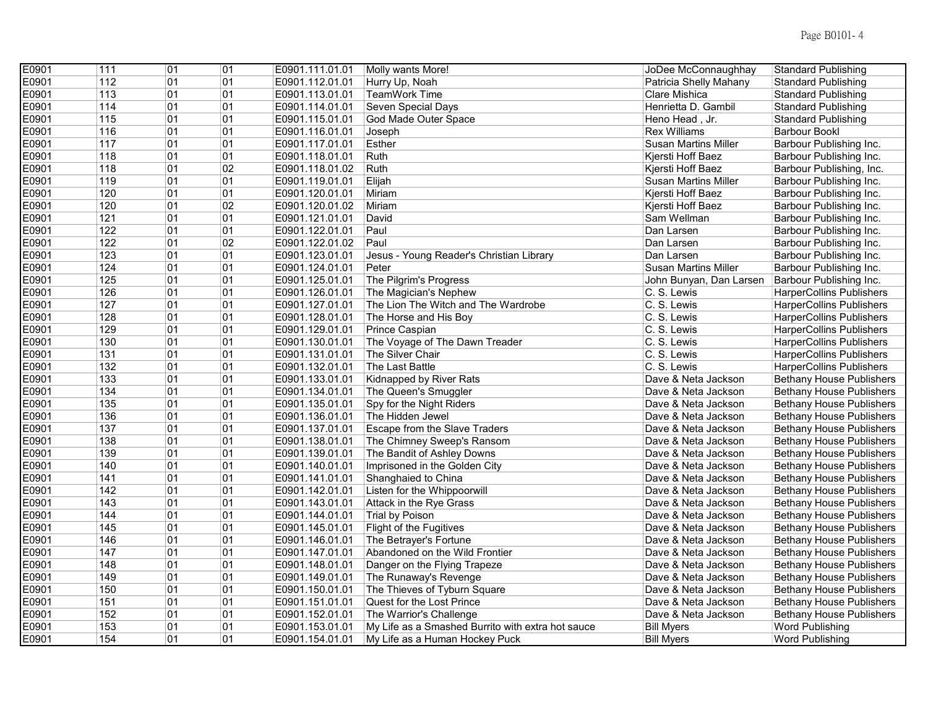| E0901 | 111 | $\overline{01}$ | 01 | E0901.111.01.01 | Molly wants More!                                 | JoDee McConnaughhay         | <b>Standard Publishing</b>      |
|-------|-----|-----------------|----|-----------------|---------------------------------------------------|-----------------------------|---------------------------------|
| E0901 | 112 | 01              | 01 | E0901.112.01.01 | Hurry Up, Noah                                    | Patricia Shelly Mahany      | <b>Standard Publishing</b>      |
| E0901 | 113 | 01              | 01 | E0901.113.01.01 | <b>TeamWork Time</b>                              | Clare Mishica               | <b>Standard Publishing</b>      |
| E0901 | 114 | 01              | 01 | E0901.114.01.01 | <b>Seven Special Days</b>                         | Henrietta D. Gambil         | <b>Standard Publishing</b>      |
| E0901 | 115 | 01              | 01 | E0901.115.01.01 | God Made Outer Space                              | Heno Head, Jr.              | <b>Standard Publishing</b>      |
| E0901 | 116 | 01              | 01 | E0901.116.01.01 | Joseph                                            | <b>Rex Williams</b>         | <b>Barbour Bookl</b>            |
| E0901 | 117 | 01              | 01 | E0901.117.01.01 | Esther                                            | <b>Susan Martins Miller</b> | Barbour Publishing Inc.         |
| E0901 | 118 | 01              | 01 | E0901.118.01.01 | Ruth                                              | Kjersti Hoff Baez           | Barbour Publishing Inc.         |
| E0901 | 118 | 01              | 02 | E0901.118.01.02 | Ruth                                              | Kjersti Hoff Baez           | Barbour Publishing, Inc.        |
| E0901 | 119 | 01              | 01 | E0901.119.01.01 | Elijah                                            | <b>Susan Martins Miller</b> | Barbour Publishing Inc.         |
| E0901 | 120 | 01              | 01 | E0901.120.01.01 | Miriam                                            | Kjersti Hoff Baez           | Barbour Publishing Inc.         |
| E0901 | 120 | 01              | 02 | E0901.120.01.02 | Miriam                                            | Kjersti Hoff Baez           | Barbour Publishing Inc.         |
| E0901 | 121 | 01              | 01 | E0901.121.01.01 | David                                             | Sam Wellman                 | Barbour Publishing Inc.         |
| E0901 | 122 | 01              | 01 | E0901.122.01.01 | Paul                                              | Dan Larsen                  | Barbour Publishing Inc.         |
| E0901 | 122 | 01              | 02 | E0901.122.01.02 | Paul                                              | Dan Larsen                  | Barbour Publishing Inc.         |
| E0901 | 123 | 01              | 01 | E0901.123.01.01 | Jesus - Young Reader's Christian Library          | Dan Larsen                  | Barbour Publishing Inc.         |
| E0901 | 124 | 01              | 01 | E0901.124.01.01 | Peter                                             | <b>Susan Martins Miller</b> | Barbour Publishing Inc.         |
| E0901 | 125 | 01              | 01 | E0901.125.01.01 | The Pilgrim's Progress                            | John Bunyan, Dan Larsen     | Barbour Publishing Inc.         |
| E0901 | 126 | 01              | 01 | E0901.126.01.01 | The Magician's Nephew                             | C. S. Lewis                 | HarperCollins Publishers        |
| E0901 | 127 | 01              | 01 | E0901.127.01.01 | The Lion The Witch and The Wardrobe               | C. S. Lewis                 | <b>HarperCollins Publishers</b> |
| E0901 | 128 | 01              | 01 | E0901.128.01.01 | The Horse and His Boy                             | C. S. Lewis                 | <b>HarperCollins Publishers</b> |
| E0901 | 129 | 01              | 01 | E0901.129.01.01 | Prince Caspian                                    | C. S. Lewis                 | <b>HarperCollins Publishers</b> |
| E0901 | 130 | 01              | 01 | E0901.130.01.01 | The Voyage of The Dawn Treader                    | C. S. Lewis                 | <b>HarperCollins Publishers</b> |
| E0901 | 131 | 01              | 01 | E0901.131.01.01 | The Silver Chair                                  | C. S. Lewis                 | <b>HarperCollins Publishers</b> |
| E0901 | 132 | 01              | 01 | E0901.132.01.01 | The Last Battle                                   | C. S. Lewis                 | <b>HarperCollins Publishers</b> |
| E0901 | 133 | 01              | 01 | E0901.133.01.01 | Kidnapped by River Rats                           | Dave & Neta Jackson         | <b>Bethany House Publishers</b> |
| E0901 | 134 | 01              | 01 | E0901.134.01.01 | The Queen's Smuggler                              | Dave & Neta Jackson         | <b>Bethany House Publishers</b> |
| E0901 | 135 | 01              | 01 | E0901.135.01.01 | Spy for the Night Riders                          | Dave & Neta Jackson         | Bethany House Publishers        |
| E0901 | 136 | 01              | 01 | E0901.136.01.01 | The Hidden Jewel                                  | Dave & Neta Jackson         | <b>Bethany House Publishers</b> |
| E0901 | 137 | 01              | 01 | E0901.137.01.01 | Escape from the Slave Traders                     | Dave & Neta Jackson         | <b>Bethany House Publishers</b> |
| E0901 | 138 | 01              | 01 | E0901.138.01.01 | The Chimney Sweep's Ransom                        | Dave & Neta Jackson         | <b>Bethany House Publishers</b> |
| E0901 | 139 | 01              | 01 | E0901.139.01.01 | The Bandit of Ashley Downs                        | Dave & Neta Jackson         | <b>Bethany House Publishers</b> |
| E0901 | 140 | 01              | 01 | E0901.140.01.01 | Imprisoned in the Golden City                     | Dave & Neta Jackson         | <b>Bethany House Publishers</b> |
| E0901 | 141 | 01              | 01 | E0901.141.01.01 | Shanghaied to China                               | Dave & Neta Jackson         | <b>Bethany House Publishers</b> |
| E0901 | 142 | 01              | 01 | E0901.142.01.01 | Listen for the Whippoorwill                       | Dave & Neta Jackson         | <b>Bethany House Publishers</b> |
| E0901 | 143 | 01              | 01 | E0901.143.01.01 | Attack in the Rye Grass                           | Dave & Neta Jackson         | <b>Bethany House Publishers</b> |
| E0901 | 144 | 01              | 01 | E0901.144.01.01 | Trial by Poison                                   | Dave & Neta Jackson         | <b>Bethany House Publishers</b> |
| E0901 | 145 | 01              | 01 | E0901.145.01.01 | Flight of the Fugitives                           | Dave & Neta Jackson         | <b>Bethany House Publishers</b> |
| E0901 | 146 | 01              | 01 | E0901.146.01.01 | The Betrayer's Fortune                            | Dave & Neta Jackson         | <b>Bethany House Publishers</b> |
| E0901 | 147 | 01              | 01 | E0901.147.01.01 | Abandoned on the Wild Frontier                    | Dave & Neta Jackson         | <b>Bethany House Publishers</b> |
| E0901 | 148 | 01              | 01 | E0901.148.01.01 | Danger on the Flying Trapeze                      | Dave & Neta Jackson         | <b>Bethany House Publishers</b> |
| E0901 | 149 | 01              | 01 | E0901.149.01.01 | The Runaway's Revenge                             | Dave & Neta Jackson         | <b>Bethany House Publishers</b> |
| E0901 | 150 | 01              | 01 | E0901.150.01.01 | The Thieves of Tyburn Square                      | Dave & Neta Jackson         | <b>Bethany House Publishers</b> |
| E0901 | 151 | 01              | 01 | E0901.151.01.01 | Quest for the Lost Prince                         | Dave & Neta Jackson         | <b>Bethany House Publishers</b> |
| E0901 | 152 | 01              | 01 | E0901.152.01.01 | The Warrior's Challenge                           | Dave & Neta Jackson         | <b>Bethany House Publishers</b> |
| E0901 | 153 | 01              | 01 | E0901.153.01.01 | My Life as a Smashed Burrito with extra hot sauce | <b>Bill Myers</b>           | <b>Word Publishing</b>          |
| E0901 | 154 | 01              | 01 | E0901.154.01.01 | My Life as a Human Hockey Puck                    | <b>Bill Myers</b>           | <b>Word Publishing</b>          |